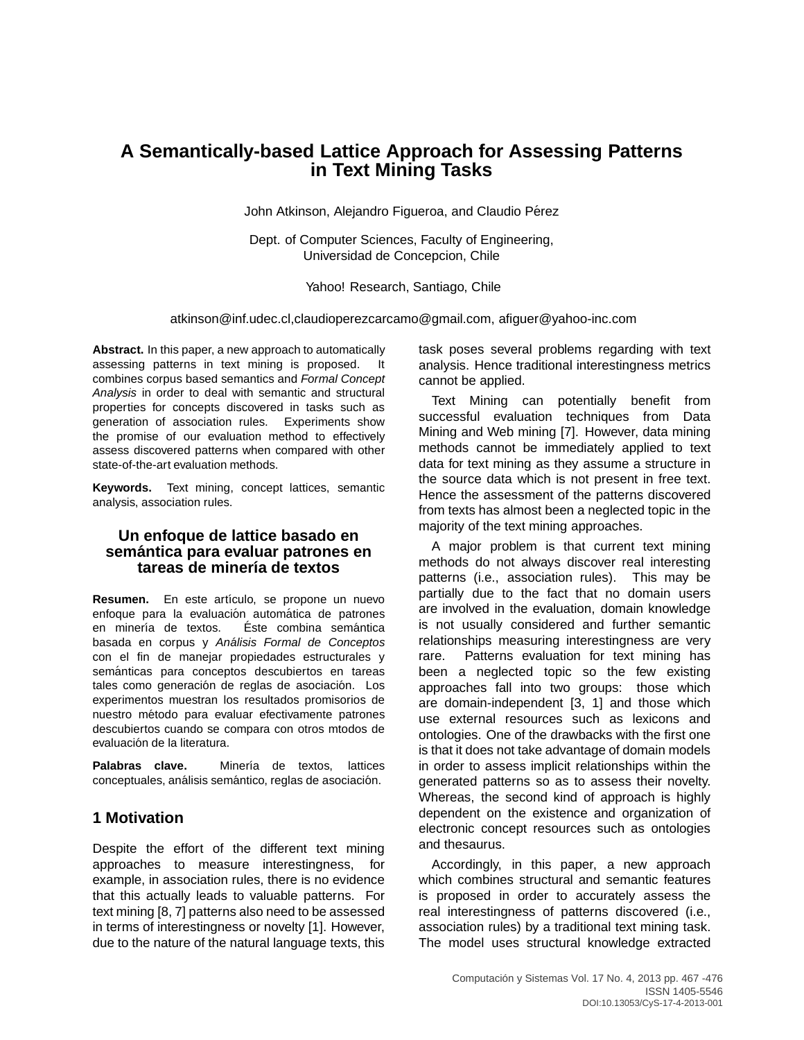# **A Semantically-based Lattice Approach for Assessing Patterns in Text Mining Tasks**

John Atkinson, Alejandro Figueroa, and Claudio Pérez

Dept. of Computer Sciences, Faculty of Engineering, Universidad de Concepcion, Chile

Yahoo! Research, Santiago, Chile

atkinson@inf.udec.cl,claudioperezcarcamo@gmail.com, afiguer@yahoo-inc.com

**Abstract.** In this paper, a new approach to automatically assessing patterns in text mining is proposed. It combines corpus based semantics and Formal Concept Analysis in order to deal with semantic and structural properties for concepts discovered in tasks such as generation of association rules. Experiments show the promise of our evaluation method to effectively assess discovered patterns when compared with other state-of-the-art evaluation methods.

**Keywords.** Text mining, concept lattices, semantic analysis, association rules.

### **Un enfoque de lattice basado en semantica para evaluar patrones en ´** tareas de minería de textos

Resumen. En este artículo, se propone un nuevo enfoque para la evaluación automática de patrones en minería de textos. Éste combina semántica basada en corpus y Análisis Formal de Conceptos con el fin de manejar propiedades estructurales y semánticas para conceptos descubiertos en tareas tales como generación de reglas de asociación. Los experimentos muestran los resultados promisorios de nuestro método para evaluar efectivamente patrones descubiertos cuando se compara con otros mtodos de evaluación de la literatura.

Palabras clave. Minería de textos, lattices conceptuales, análisis semántico, reglas de asociación.

## **1 Motivation**

Despite the effort of the different text mining approaches to measure interestingness, for example, in association rules, there is no evidence that this actually leads to valuable patterns. For text mining [8, 7] patterns also need to be assessed in terms of interestingness or novelty [1]. However, due to the nature of the natural language texts, this

task poses several problems regarding with text analysis. Hence traditional interestingness metrics cannot be applied.

Text Mining can potentially benefit from successful evaluation techniques from Data Mining and Web mining [7]. However, data mining methods cannot be immediately applied to text data for text mining as they assume a structure in the source data which is not present in free text. Hence the assessment of the patterns discovered from texts has almost been a neglected topic in the majority of the text mining approaches.

A major problem is that current text mining methods do not always discover real interesting patterns (i.e., association rules). This may be partially due to the fact that no domain users are involved in the evaluation, domain knowledge is not usually considered and further semantic relationships measuring interestingness are very rare. Patterns evaluation for text mining has been a neglected topic so the few existing approaches fall into two groups: those which are domain-independent [3, 1] and those which use external resources such as lexicons and ontologies. One of the drawbacks with the first one is that it does not take advantage of domain models in order to assess implicit relationships within the generated patterns so as to assess their novelty. Whereas, the second kind of approach is highly dependent on the existence and organization of electronic concept resources such as ontologies and thesaurus.

Accordingly, in this paper, a new approach which combines structural and semantic features is proposed in order to accurately assess the real interestingness of patterns discovered (i.e., association rules) by a traditional text mining task. The model uses structural knowledge extracted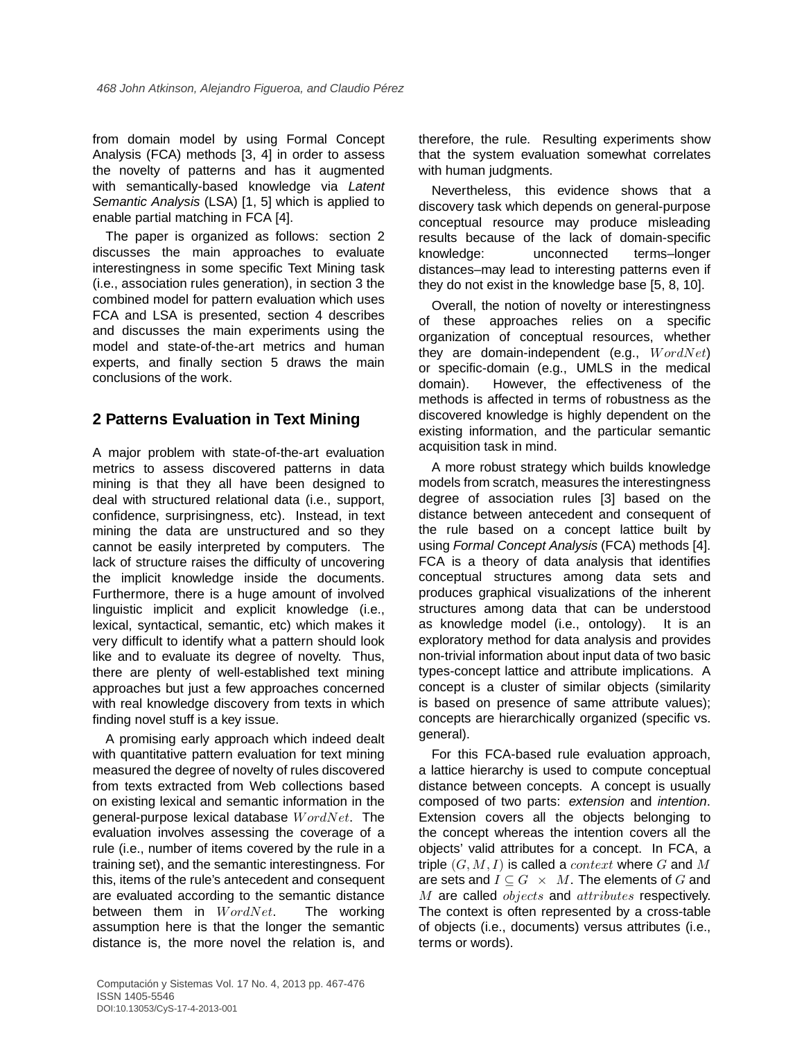from domain model by using Formal Concept Analysis (FCA) methods [3, 4] in order to assess the novelty of patterns and has it augmented with semantically-based knowledge via Latent Semantic Analysis (LSA) [1, 5] which is applied to enable partial matching in FCA [4].

The paper is organized as follows: section 2 discusses the main approaches to evaluate interestingness in some specific Text Mining task (i.e., association rules generation), in section 3 the combined model for pattern evaluation which uses FCA and LSA is presented, section 4 describes and discusses the main experiments using the model and state-of-the-art metrics and human experts, and finally section 5 draws the main conclusions of the work.

## **2 Patterns Evaluation in Text Mining**

A major problem with state-of-the-art evaluation metrics to assess discovered patterns in data mining is that they all have been designed to deal with structured relational data (i.e., support, confidence, surprisingness, etc). Instead, in text mining the data are unstructured and so they cannot be easily interpreted by computers. The lack of structure raises the difficulty of uncovering the implicit knowledge inside the documents. Furthermore, there is a huge amount of involved linguistic implicit and explicit knowledge (i.e., lexical, syntactical, semantic, etc) which makes it very difficult to identify what a pattern should look like and to evaluate its degree of novelty. Thus, there are plenty of well-established text mining approaches but just a few approaches concerned with real knowledge discovery from texts in which finding novel stuff is a key issue.

A promising early approach which indeed dealt with quantitative pattern evaluation for text mining measured the degree of novelty of rules discovered from texts extracted from Web collections based on existing lexical and semantic information in the general-purpose lexical database  $WordNet$ . The evaluation involves assessing the coverage of a rule (i.e., number of items covered by the rule in a training set), and the semantic interestingness. For this, items of the rule's antecedent and consequent are evaluated according to the semantic distance between them in  $WordNet$ . The working assumption here is that the longer the semantic distance is, the more novel the relation is, and

therefore, the rule. Resulting experiments show that the system evaluation somewhat correlates with human judgments.

Nevertheless, this evidence shows that a discovery task which depends on general-purpose conceptual resource may produce misleading results because of the lack of domain-specific knowledge: unconnected terms–longer distances–may lead to interesting patterns even if they do not exist in the knowledge base [5, 8, 10].

Overall, the notion of novelty or interestingness of these approaches relies on a specific organization of conceptual resources, whether they are domain-independent (e.g.,  $WordNet$ ) or specific-domain (e.g., UMLS in the medical domain). However, the effectiveness of the methods is affected in terms of robustness as the discovered knowledge is highly dependent on the existing information, and the particular semantic acquisition task in mind.

A more robust strategy which builds knowledge models from scratch, measures the interestingness degree of association rules [3] based on the distance between antecedent and consequent of the rule based on a concept lattice built by using Formal Concept Analysis (FCA) methods [4]. FCA is a theory of data analysis that identifies conceptual structures among data sets and produces graphical visualizations of the inherent structures among data that can be understood as knowledge model (i.e., ontology). It is an exploratory method for data analysis and provides non-trivial information about input data of two basic types-concept lattice and attribute implications. A concept is a cluster of similar objects (similarity is based on presence of same attribute values); concepts are hierarchically organized (specific vs. general).

For this FCA-based rule evaluation approach, a lattice hierarchy is used to compute conceptual distance between concepts. A concept is usually composed of two parts: extension and intention. Extension covers all the objects belonging to the concept whereas the intention covers all the objects' valid attributes for a concept. In FCA, a triple  $(G, M, I)$  is called a *context* where G and M are sets and  $I \subseteq G \times M$ . The elements of G and M are called objects and attributes respectively. The context is often represented by a cross-table of objects (i.e., documents) versus attributes (i.e., terms or words).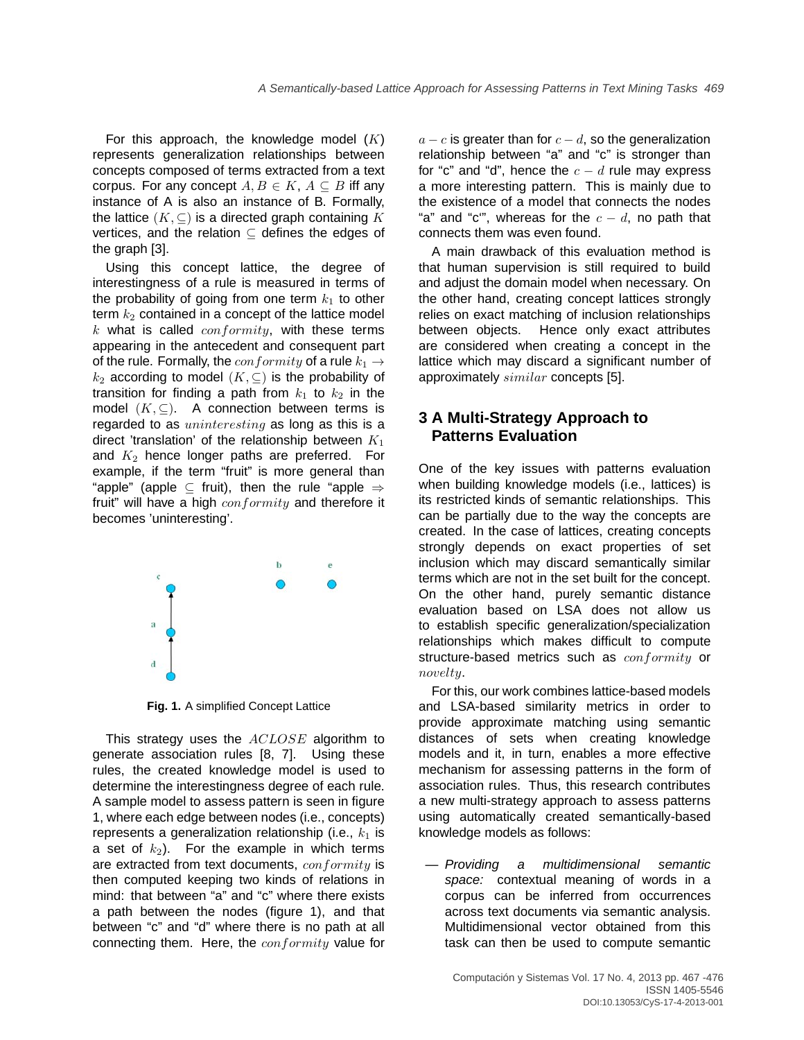For this approach, the knowledge model  $(K)$ represents generalization relationships between concepts composed of terms extracted from a text corpus. For any concept  $A, B \in K$ ,  $A \subseteq B$  iff any instance of A is also an instance of B. Formally, the lattice  $(K, \subseteq)$  is a directed graph containing K vertices, and the relation ⊆ defines the edges of the graph [3].

Using this concept lattice, the degree of interestingness of a rule is measured in terms of the probability of going from one term  $k_1$  to other term  $k_2$  contained in a concept of the lattice model  $k$  what is called  $\text{conformity}$ , with these terms appearing in the antecedent and consequent part of the rule. Formally, the  $conformity$  of a rule  $k_1 \rightarrow$  $k_2$  according to model  $(K, \subseteq)$  is the probability of transition for finding a path from  $k_1$  to  $k_2$  in the model  $(K, \subseteq)$ . A connection between terms is regarded to as *uninteresting* as long as this is a direct 'translation' of the relationship between  $K_1$ and  $K_2$  hence longer paths are preferred. For example, if the term "fruit" is more general than "apple" (apple  $\subseteq$  fruit), then the rule "apple  $\Rightarrow$ fruit" will have a high  $conformity$  and therefore it becomes 'uninteresting'.



**Fig. 1.** A simplified Concept Lattice

This strategy uses the **ACLOSE** algorithm to generate association rules [8, 7]. Using these rules, the created knowledge model is used to determine the interestingness degree of each rule. A sample model to assess pattern is seen in figure 1, where each edge between nodes (i.e., concepts) represents a generalization relationship (i.e.,  $k_1$  is a set of  $k_2$ ). For the example in which terms are extracted from text documents, conformity is then computed keeping two kinds of relations in mind: that between "a" and "c" where there exists a path between the nodes (figure 1), and that between "c" and "d" where there is no path at all connecting them. Here, the *conformity* value for

 $a - c$  is greater than for  $c - d$ , so the generalization relationship between "a" and "c" is stronger than for "c" and "d", hence the  $c - d$  rule may express a more interesting pattern. This is mainly due to the existence of a model that connects the nodes "a" and "c"", whereas for the  $c - d$ , no path that connects them was even found.

A main drawback of this evaluation method is that human supervision is still required to build and adjust the domain model when necessary. On the other hand, creating concept lattices strongly relies on exact matching of inclusion relationships between objects. Hence only exact attributes are considered when creating a concept in the lattice which may discard a significant number of approximately similar concepts [5].

### **3 A Multi-Strategy Approach to Patterns Evaluation**

One of the key issues with patterns evaluation when building knowledge models (i.e., lattices) is its restricted kinds of semantic relationships. This can be partially due to the way the concepts are created. In the case of lattices, creating concepts strongly depends on exact properties of set inclusion which may discard semantically similar terms which are not in the set built for the concept. On the other hand, purely semantic distance evaluation based on LSA does not allow us to establish specific generalization/specialization relationships which makes difficult to compute structure-based metrics such as  $conformity$  or novelty.

For this, our work combines lattice-based models and LSA-based similarity metrics in order to provide approximate matching using semantic distances of sets when creating knowledge models and it, in turn, enables a more effective mechanism for assessing patterns in the form of association rules. Thus, this research contributes a new multi-strategy approach to assess patterns using automatically created semantically-based knowledge models as follows:

— Providing a multidimensional semantic space: contextual meaning of words in a corpus can be inferred from occurrences across text documents via semantic analysis. Multidimensional vector obtained from this task can then be used to compute semantic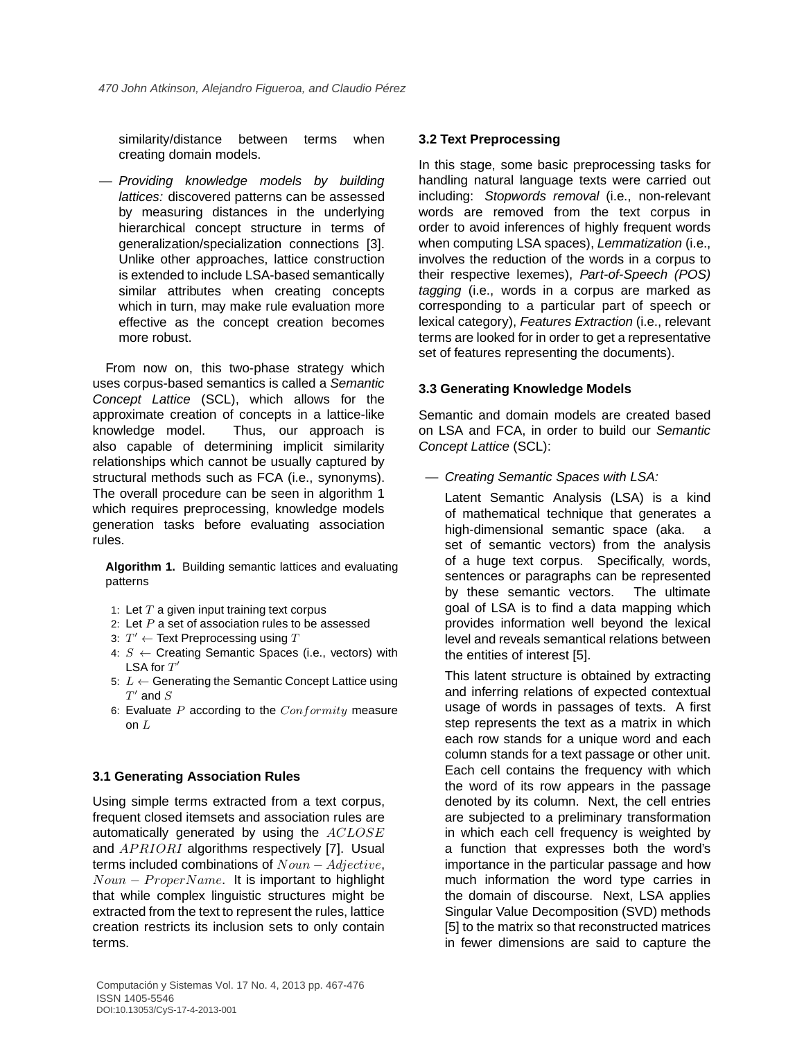similarity/distance between terms when creating domain models.

— Providing knowledge models by building lattices: discovered patterns can be assessed by measuring distances in the underlying hierarchical concept structure in terms of generalization/specialization connections [3]. Unlike other approaches, lattice construction is extended to include LSA-based semantically similar attributes when creating concepts which in turn, may make rule evaluation more effective as the concept creation becomes more robust.

From now on, this two-phase strategy which uses corpus-based semantics is called a Semantic Concept Lattice (SCL), which allows for the approximate creation of concepts in a lattice-like knowledge model. Thus, our approach is also capable of determining implicit similarity relationships which cannot be usually captured by structural methods such as FCA (i.e., synonyms). The overall procedure can be seen in algorithm 1 which requires preprocessing, knowledge models generation tasks before evaluating association rules.

**Algorithm 1.** Building semantic lattices and evaluating patterns

- 1: Let  $T$  a given input training text corpus
- 2: Let  $P$  a set of association rules to be assessed
- 3:  $T' \leftarrow$  Text Preprocessing using T
- 4:  $S \leftarrow$  Creating Semantic Spaces (i.e., vectors) with LSA for  $T'$
- 5:  $L$  ← Generating the Semantic Concept Lattice using  $T'$  and  $S$
- 6: Evaluate  $P$  according to the  $Conformity$  measure on  $L$

### **3.1 Generating Association Rules**

Using simple terms extracted from a text corpus, frequent closed itemsets and association rules are automatically generated by using the ACLOSE and  $APRIORI$  algorithms respectively [7]. Usual terms included combinations of  $Noun - Adjective$ ,  $Noun - Property Name$ . It is important to highlight that while complex linguistic structures might be extracted from the text to represent the rules, lattice creation restricts its inclusion sets to only contain terms.

### **3.2 Text Preprocessing**

In this stage, some basic preprocessing tasks for handling natural language texts were carried out including: Stopwords removal (i.e., non-relevant words are removed from the text corpus in order to avoid inferences of highly frequent words when computing LSA spaces), Lemmatization (i.e., involves the reduction of the words in a corpus to their respective lexemes), Part-of-Speech (POS) tagging (i.e., words in a corpus are marked as corresponding to a particular part of speech or lexical category), Features Extraction (i.e., relevant terms are looked for in order to get a representative set of features representing the documents).

### **3.3 Generating Knowledge Models**

Semantic and domain models are created based on LSA and FCA, in order to build our Semantic Concept Lattice (SCL):

— Creating Semantic Spaces with LSA:

Latent Semantic Analysis (LSA) is a kind of mathematical technique that generates a high-dimensional semantic space (aka. a set of semantic vectors) from the analysis of a huge text corpus. Specifically, words, sentences or paragraphs can be represented by these semantic vectors. The ultimate goal of LSA is to find a data mapping which provides information well beyond the lexical level and reveals semantical relations between the entities of interest [5].

This latent structure is obtained by extracting and inferring relations of expected contextual usage of words in passages of texts. A first step represents the text as a matrix in which each row stands for a unique word and each column stands for a text passage or other unit. Each cell contains the frequency with which the word of its row appears in the passage denoted by its column. Next, the cell entries are subjected to a preliminary transformation in which each cell frequency is weighted by a function that expresses both the word's importance in the particular passage and how much information the word type carries in the domain of discourse. Next, LSA applies Singular Value Decomposition (SVD) methods [5] to the matrix so that reconstructed matrices in fewer dimensions are said to capture the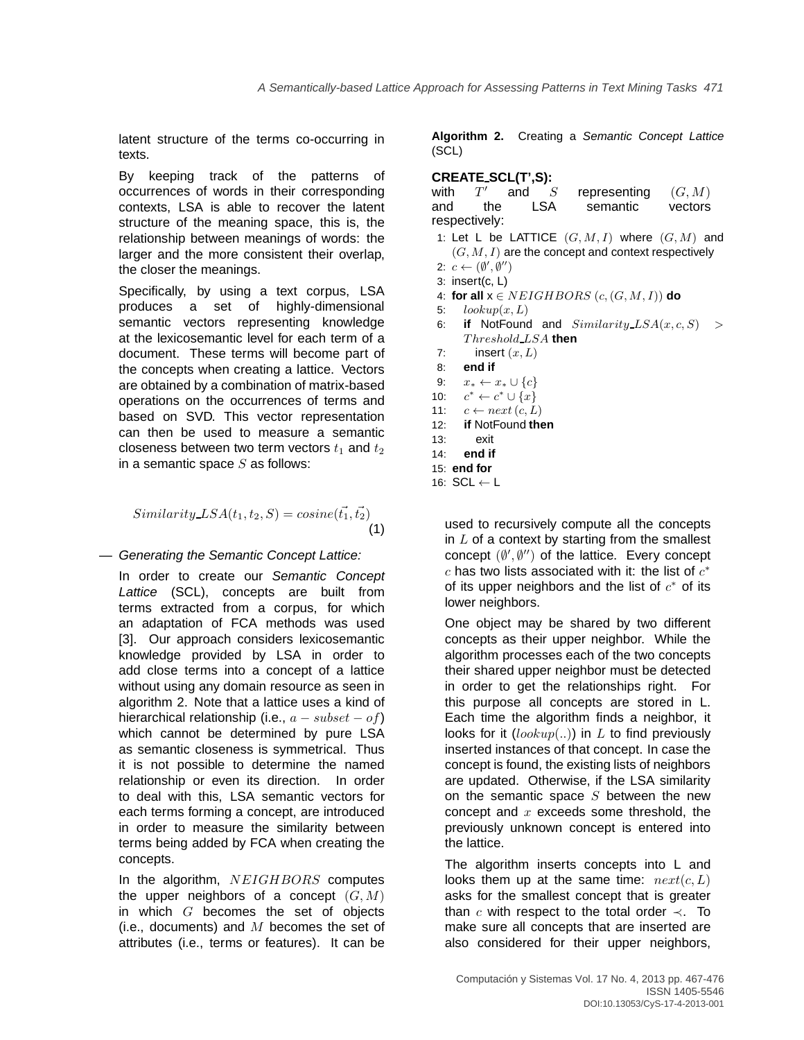latent structure of the terms co-occurring in texts.

By keeping track of the patterns of occurrences of words in their corresponding contexts, LSA is able to recover the latent structure of the meaning space, this is, the relationship between meanings of words: the larger and the more consistent their overlap, the closer the meanings.

Specifically, by using a text corpus, LSA produces a set of highly-dimensional semantic vectors representing knowledge at the lexicosemantic level for each term of a document. These terms will become part of the concepts when creating a lattice. Vectors are obtained by a combination of matrix-based operations on the occurrences of terms and based on SVD. This vector representation can then be used to measure a semantic closeness between two term vectors  $t_1$  and  $t_2$ in a semantic space  $S$  as follows:

$$
Similarity\_\_\mathit{LSA}(t_1, t_2, S) = cosine(\vec{t_1}, \vec{t_2})\tag{1}
$$

### — Generating the Semantic Concept Lattice:

In order to create our Semantic Concept Lattice (SCL), concepts are built from terms extracted from a corpus, for which an adaptation of FCA methods was used [3]. Our approach considers lexicosemantic knowledge provided by LSA in order to add close terms into a concept of a lattice without using any domain resource as seen in algorithm 2. Note that a lattice uses a kind of hierarchical relationship (i.e.,  $a - subset - of$ ) which cannot be determined by pure LSA as semantic closeness is symmetrical. Thus it is not possible to determine the named relationship or even its direction. In order to deal with this, LSA semantic vectors for each terms forming a concept, are introduced in order to measure the similarity between terms being added by FCA when creating the concepts.

In the algorithm, NEIGHBORS computes the upper neighbors of a concept  $(G, M)$ in which  $G$  becomes the set of objects (i.e., documents) and  $M$  becomes the set of attributes (i.e., terms or features). It can be

**Algorithm 2.** Creating a Semantic Concept Lattice (SCL)

### **CREATE SCL(T',S):**

|     | with $T'$                                   |                       | and S representing $(G, M)$                          |  |          |
|-----|---------------------------------------------|-----------------------|------------------------------------------------------|--|----------|
| and | the                                         |                       | LSA semantic vectors                                 |  |          |
|     | respectively:                               |                       |                                                      |  |          |
|     |                                             |                       | 1: Let L be LATTICE $(G, M, I)$ where $(G, M)$ and   |  |          |
|     |                                             |                       | $(G, M, I)$ are the concept and context respectively |  |          |
|     | 2: $c \leftarrow (\emptyset', \emptyset'')$ |                       |                                                      |  |          |
|     | 3: insert $(c, L)$                          |                       |                                                      |  |          |
|     |                                             |                       | 4: for all $x \in NEIGHBORS$ $(c, (G, M, I))$ do     |  |          |
|     | 5: $lookup(x, L)$                           |                       |                                                      |  |          |
|     |                                             |                       | 6: if NotFound and $Similarity\_{LSA}(x, c, S)$      |  | $\rm{>}$ |
|     |                                             | $Threshold\_LSA$ then |                                                      |  |          |
| 7:  |                                             | insert $(x,L)$        |                                                      |  |          |
|     | 8: end if                                   |                       |                                                      |  |          |
|     | 9: $x_* \leftarrow x_* \cup \{c\}$          |                       |                                                      |  |          |
|     | 10: $c^* \leftarrow c^* \cup \{x\}$         |                       |                                                      |  |          |
|     | 11: $c \leftarrow next(c, L)$               |                       |                                                      |  |          |
|     | 12: if NotFound then                        |                       |                                                      |  |          |
| 13: | exit                                        |                       |                                                      |  |          |
| 14: | end if                                      |                       |                                                      |  |          |
|     | $15:$ end for                               |                       |                                                      |  |          |
|     | 16: $SCL \leftarrow L$                      |                       |                                                      |  |          |
|     |                                             |                       |                                                      |  |          |

used to recursively compute all the concepts in  $L$  of a context by starting from the smallest concept  $(\emptyset', \emptyset'')$  of the lattice. Every concept  $c$  has two lists associated with it: the list of  $c^*$ of its upper neighbors and the list of  $c^*$  of its lower neighbors.

One object may be shared by two different concepts as their upper neighbor. While the algorithm processes each of the two concepts their shared upper neighbor must be detected in order to get the relationships right. For this purpose all concepts are stored in L. Each time the algorithm finds a neighbor, it looks for it  $(lookup(...)$  in L to find previously inserted instances of that concept. In case the concept is found, the existing lists of neighbors are updated. Otherwise, if the LSA similarity on the semantic space  $S$  between the new concept and  $x$  exceeds some threshold, the previously unknown concept is entered into the lattice.

The algorithm inserts concepts into L and looks them up at the same time:  $next(c, L)$ asks for the smallest concept that is greater than c with respect to the total order  $\prec$ . To make sure all concepts that are inserted are also considered for their upper neighbors,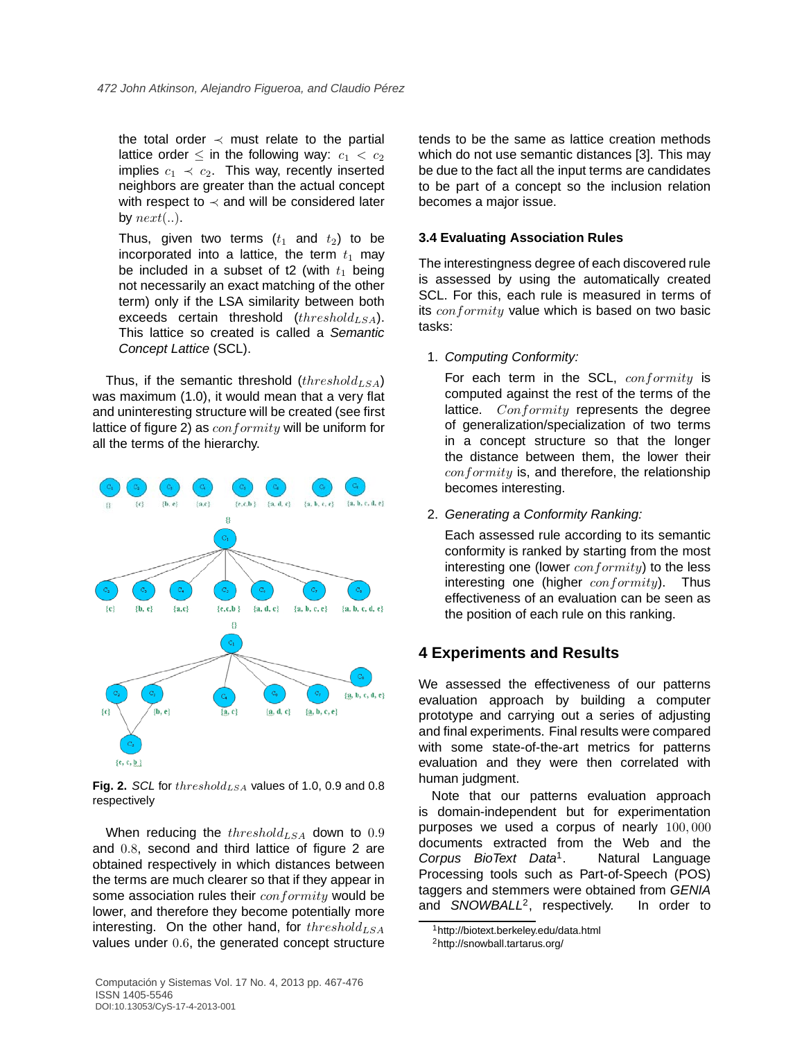the total order  $\prec$  must relate to the partial lattice order  $\leq$  in the following way:  $c_1 < c_2$ implies  $c_1 \prec c_2$ . This way, recently inserted neighbors are greater than the actual concept with respect to  $\prec$  and will be considered later by  $next(...)$ .

Thus, given two terms  $(t_1$  and  $t_2$ ) to be incorporated into a lattice, the term  $t_1$  may be included in a subset of t2 (with  $t_1$  being not necessarily an exact matching of the other term) only if the LSA similarity between both exceeds certain threshold  $(threshold_{LSA})$ . This lattice so created is called a Semantic Concept Lattice (SCL).

Thus, if the semantic threshold  $(threshold_{LSA})$ was maximum (1.0), it would mean that a very flat and uninteresting structure will be created (see first lattice of figure 2) as  $conformity$  will be uniform for all the terms of the hierarchy.



Fig. 2. SCL for  $threshold_{LSA}$  values of 1.0, 0.9 and 0.8 respectively

When reducing the  $threshold_{LSA}$  down to  $0.9$ and 0.8, second and third lattice of figure 2 are obtained respectively in which distances between the terms are much clearer so that if they appear in some association rules their conformity would be lower, and therefore they become potentially more interesting. On the other hand, for  $threshold_{LSA}$ values under 0.6, the generated concept structure tends to be the same as lattice creation methods which do not use semantic distances [3]. This may be due to the fact all the input terms are candidates to be part of a concept so the inclusion relation becomes a major issue.

### **3.4 Evaluating Association Rules**

The interestingness degree of each discovered rule is assessed by using the automatically created SCL. For this, each rule is measured in terms of its  $conformity$  value which is based on two basic tasks:

1. Computing Conformity:

For each term in the SCL, conformity is computed against the rest of the terms of the lattice.  $Conformity$  represents the degree of generalization/specialization of two terms in a concept structure so that the longer the distance between them, the lower their  $conformity$  is, and therefore, the relationship becomes interesting.

2. Generating a Conformity Ranking:

Each assessed rule according to its semantic conformity is ranked by starting from the most interesting one (lower  $conformity$ ) to the less interesting one (higher  $conformity$ ). Thus effectiveness of an evaluation can be seen as the position of each rule on this ranking.

## **4 Experiments and Results**

We assessed the effectiveness of our patterns evaluation approach by building a computer prototype and carrying out a series of adjusting and final experiments. Final results were compared with some state-of-the-art metrics for patterns evaluation and they were then correlated with human judgment.

Note that our patterns evaluation approach is domain-independent but for experimentation purposes we used a corpus of nearly 100, 000 documents extracted from the Web and the Corpus BioText Data<sup>1</sup>. . Natural Language Processing tools such as Part-of-Speech (POS) taggers and stemmers were obtained from GENIA and SNOWBALL<sup>2</sup>, respectively. In order to

<sup>1</sup>http://biotext.berkeley.edu/data.html

<sup>2</sup>http://snowball.tartarus.org/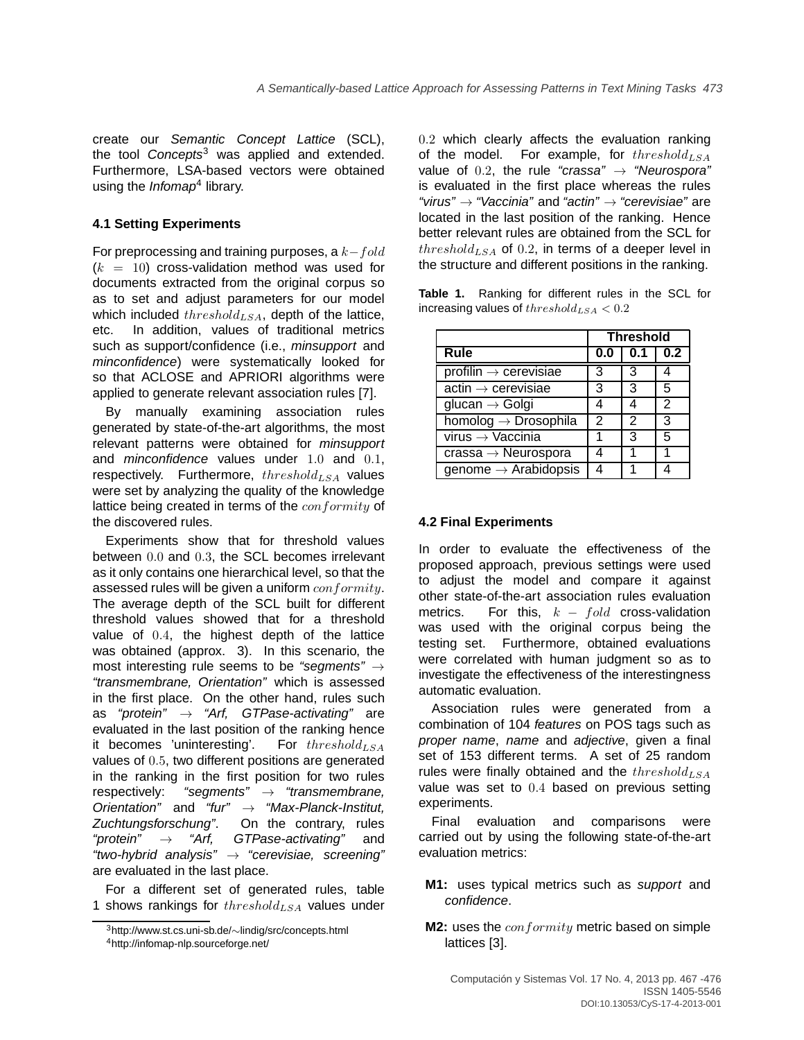create our Semantic Concept Lattice (SCL), the tool  $Concepts<sup>3</sup>$  was applied and extended. Furthermore, LSA-based vectors were obtained using the Infomap<sup>4</sup> library.

### **4.1 Setting Experiments**

For preprocessing and training purposes, a  $k-fold$  $(k = 10)$  cross-validation method was used for documents extracted from the original corpus so as to set and adjust parameters for our model which included  $threshold_{LSA}$ , depth of the lattice, etc. In addition, values of traditional metrics such as support/confidence (i.e., *minsupport* and minconfidence) were systematically looked for so that ACLOSE and APRIORI algorithms were applied to generate relevant association rules [7].

By manually examining association rules generated by state-of-the-art algorithms, the most relevant patterns were obtained for minsupport and *minconfidence* values under 1.0 and 0.1, respectively. Furthermore,  $threshold_{LSA}$  values were set by analyzing the quality of the knowledge lattice being created in terms of the conformity of the discovered rules.

Experiments show that for threshold values between 0.0 and 0.3, the SCL becomes irrelevant as it only contains one hierarchical level, so that the assessed rules will be given a uniform  $conformity$ . The average depth of the SCL built for different threshold values showed that for a threshold value of 0.4, the highest depth of the lattice was obtained (approx. 3). In this scenario, the most interesting rule seems to be "segments"  $\rightarrow$ "transmembrane, Orientation" which is assessed in the first place. On the other hand, rules such as "protein"  $\rightarrow$  "Arf, GTPase-activating" are evaluated in the last position of the ranking hence it becomes 'uninteresting'. For  $threshold_{LSA}$ values of 0.5, two different positions are generated in the ranking in the first position for two rules respectively: "segments"  $\rightarrow$  "transmembrane, Orientation" and "fur"  $\rightarrow$  "Max-Planck-Institut, Zuchtungsforschung". On the contrary, rules "protein"  $\rightarrow$  "Arf, GTPase-activating" and "two-hybrid analysis"  $\rightarrow$  "cerevisiae, screening" are evaluated in the last place.

For a different set of generated rules, table 1 shows rankings for  $threshold_{LSA}$  values under 0.2 which clearly affects the evaluation ranking of the model. For example, for  $threshold_{LSA}$ value of 0.2, the rule "crassa"  $\rightarrow$  "Neurospora" is evaluated in the first place whereas the rules "virus"  $\rightarrow$  "Vaccinia" and "actin"  $\rightarrow$  "cerevisiae" are located in the last position of the ranking. Hence better relevant rules are obtained from the SCL for  $threshold_{LSA}$  of 0.2, in terms of a deeper level in the structure and different positions in the ranking.

**Table 1.** Ranking for different rules in the SCL for increasing values of  $threshold_{LSA} < 0.2$ 

|                                                         | <b>Threshold</b> |               |                  |
|---------------------------------------------------------|------------------|---------------|------------------|
| Rule                                                    | 0.0              | 0.1           | 0.2 <sub>0</sub> |
| $profitin \rightarrow cerevisiae$                       | 3                | 3             |                  |
| $\overline{\text{actin} \rightarrow \text{cerevisiae}}$ | 3                | 3             | 5                |
| glucan $\rightarrow$ Golgi                              | 4                |               | 2                |
| homolog $\rightarrow$ Drosophila                        | $\mathcal{P}$    | $\mathcal{P}$ | 3                |
| virus $\rightarrow$ Vaccinia                            | 1                | 3             | 5                |
| $crassa \rightarrow Neurospora$                         |                  |               |                  |
| genome $\rightarrow$ Arabidopsis                        |                  |               |                  |

#### **4.2 Final Experiments**

In order to evaluate the effectiveness of the proposed approach, previous settings were used to adjust the model and compare it against other state-of-the-art association rules evaluation metrics. For this,  $k - fold$  cross-validation was used with the original corpus being the testing set. Furthermore, obtained evaluations were correlated with human judgment so as to investigate the effectiveness of the interestingness automatic evaluation.

Association rules were generated from a combination of 104 features on POS tags such as proper name, name and adjective, given a final set of 153 different terms. A set of 25 random rules were finally obtained and the  $threshold_{LSA}$ value was set to 0.4 based on previous setting experiments.

Final evaluation and comparisons were carried out by using the following state-of-the-art evaluation metrics:

- **M1:** uses typical metrics such as support and confidence.
- **M2:** uses the *conformity* metric based on simple lattices [3].

<sup>3</sup>http://www.st.cs.uni-sb.de/∼lindig/src/concepts.html <sup>4</sup>http://infomap-nlp.sourceforge.net/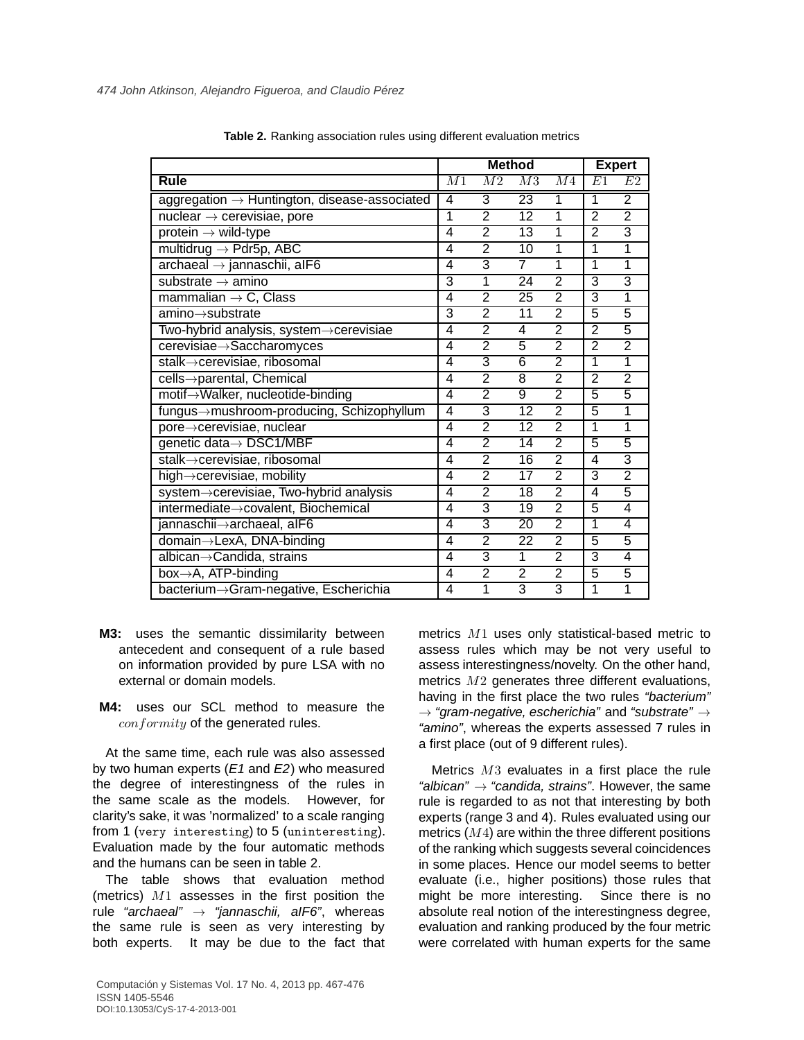|                                                          | <b>Method</b>  |                 |                 | <b>Expert</b>  |                         |                |
|----------------------------------------------------------|----------------|-----------------|-----------------|----------------|-------------------------|----------------|
| Rule                                                     | M1             | $\overline{M2}$ | $\overline{M3}$ | M <sub>4</sub> | E1                      | E2             |
| aggregation $\rightarrow$ Huntington, disease-associated | 4              | $\overline{3}$  | 23              | 1              | $\mathbf 1$             | $\overline{2}$ |
| nuclear $\rightarrow$ cerevisiae, pore                   | 1              | $\overline{2}$  | 12              | 1              | $\overline{2}$          | $\overline{2}$ |
| protein $\rightarrow$ wild-type                          | 4              | $\overline{2}$  | $\overline{13}$ | 1              | $\overline{2}$          | $\overline{3}$ |
| multidrug $\rightarrow$ Pdr5p, ABC                       | $\overline{4}$ | $\overline{2}$  | $\overline{10}$ | 1              | 1                       | 1              |
| $archaeal \rightarrow jannaschii, alF6$                  | 4              | 3               | $\overline{7}$  | 1              | 1                       | $\overline{1}$ |
| substrate $\rightarrow$ amino                            | $\overline{3}$ | $\overline{1}$  | 24              | $\overline{2}$ | 3                       | 3              |
| mammalian $\rightarrow$ C, Class                         | $\overline{4}$ | $\overline{2}$  | $\overline{25}$ | $\overline{2}$ | 3                       | $\overline{1}$ |
| $amino \rightarrow substrate$                            | $\overline{3}$ | $\overline{2}$  | $\overline{11}$ | $\overline{2}$ | $\overline{5}$          | $\overline{5}$ |
| Two-hybrid analysis, system->cerevisiae                  | 4              | $\overline{2}$  | 4               | $\overline{2}$ | $\overline{2}$          | 5              |
| cerevisiae->Saccharomyces                                | 4              | $\overline{2}$  | 5               | $\overline{2}$ | $\overline{2}$          | $\overline{2}$ |
| stalk->cerevisiae, ribosomal                             | $\overline{4}$ | $\overline{3}$  | $\overline{6}$  | $\overline{2}$ | 1                       | 1              |
| cells->parental, Chemical                                | $\overline{4}$ | $\overline{2}$  | 8               | $\overline{2}$ | $\overline{2}$          | $\overline{2}$ |
| motif->Walker, nucleotide-binding                        | 4              | $\overline{2}$  | $\overline{9}$  | $\overline{2}$ | 5                       | $\overline{5}$ |
| fungus->mushroom-producing, Schizophyllum                | $\overline{4}$ | $\overline{3}$  | 12              | $\overline{2}$ | 5                       | 1              |
| pore->cerevisiae, nuclear                                | $\overline{4}$ | $\overline{2}$  | 12              | $\overline{2}$ | 1                       | 1              |
| genetic data→ DSC1/MBF                                   | 4              | $\overline{2}$  | $\overline{14}$ | $\overline{2}$ | 5                       | 5              |
| stalk->cerevisiae, ribosomal                             | 4              | $\overline{2}$  | 16              | $\overline{2}$ | 4                       | 3              |
| high->cerevisiae, mobility                               | 4              | $\overline{2}$  | 17              | $\overline{2}$ | $\overline{3}$          | $\overline{2}$ |
| system->cerevisiae, Two-hybrid analysis                  | $\overline{4}$ | $\overline{2}$  | 18              | $\overline{2}$ | $\overline{\mathbf{4}}$ | 5              |
| intermediate->covalent, Biochemical                      | 4              | $\overline{3}$  | 19              | $\overline{2}$ | 5                       | 4              |
| jannaschii->archaeal, alF6                               | 4              | $\overline{3}$  | 20              | $\overline{2}$ | 1                       | 4              |
| domain→LexA, DNA-binding                                 | 4              | $\overline{2}$  | $\overline{22}$ | $\overline{2}$ | $\overline{5}$          | 5              |
| albican->Candida, strains                                | 4              | $\overline{3}$  | $\overline{1}$  | $\overline{2}$ | $\overline{3}$          | $\overline{4}$ |
| box->A, ATP-binding                                      | 4              | $\overline{2}$  | $\overline{2}$  | $\overline{2}$ | 5                       | 5              |
| bacterium->Gram-negative, Escherichia                    | $\overline{4}$ | 1               | 3               | 3              | 1                       | 1              |

**Table 2.** Ranking association rules using different evaluation metrics

- **M3:** uses the semantic dissimilarity between antecedent and consequent of a rule based on information provided by pure LSA with no external or domain models.
- **M4:** uses our SCL method to measure the conformity of the generated rules.

At the same time, each rule was also assessed by two human experts  $(E1$  and  $E2)$  who measured the degree of interestingness of the rules in the same scale as the models. However, for clarity's sake, it was 'normalized' to a scale ranging from 1 (very interesting) to 5 (uninteresting). Evaluation made by the four automatic methods and the humans can be seen in table 2.

The table shows that evaluation method (metrics)  $M1$  assesses in the first position the rule "archaeal"  $\rightarrow$  "jannaschii, alF6", whereas the same rule is seen as very interesting by both experts. It may be due to the fact that metrics M1 uses only statistical-based metric to assess rules which may be not very useful to assess interestingness/novelty. On the other hand, metrics  $M2$  generates three different evaluations, having in the first place the two rules "bacterium"  $\rightarrow$  "gram-negative, escherichia" and "substrate"  $\rightarrow$ "amino", whereas the experts assessed 7 rules in a first place (out of 9 different rules).

Metrics  $M3$  evaluates in a first place the rule "albican"  $\rightarrow$  "candida, strains". However, the same rule is regarded to as not that interesting by both experts (range 3 and 4). Rules evaluated using our metrics  $(M4)$  are within the three different positions of the ranking which suggests several coincidences in some places. Hence our model seems to better evaluate (i.e., higher positions) those rules that might be more interesting. Since there is no absolute real notion of the interestingness degree, evaluation and ranking produced by the four metric were correlated with human experts for the same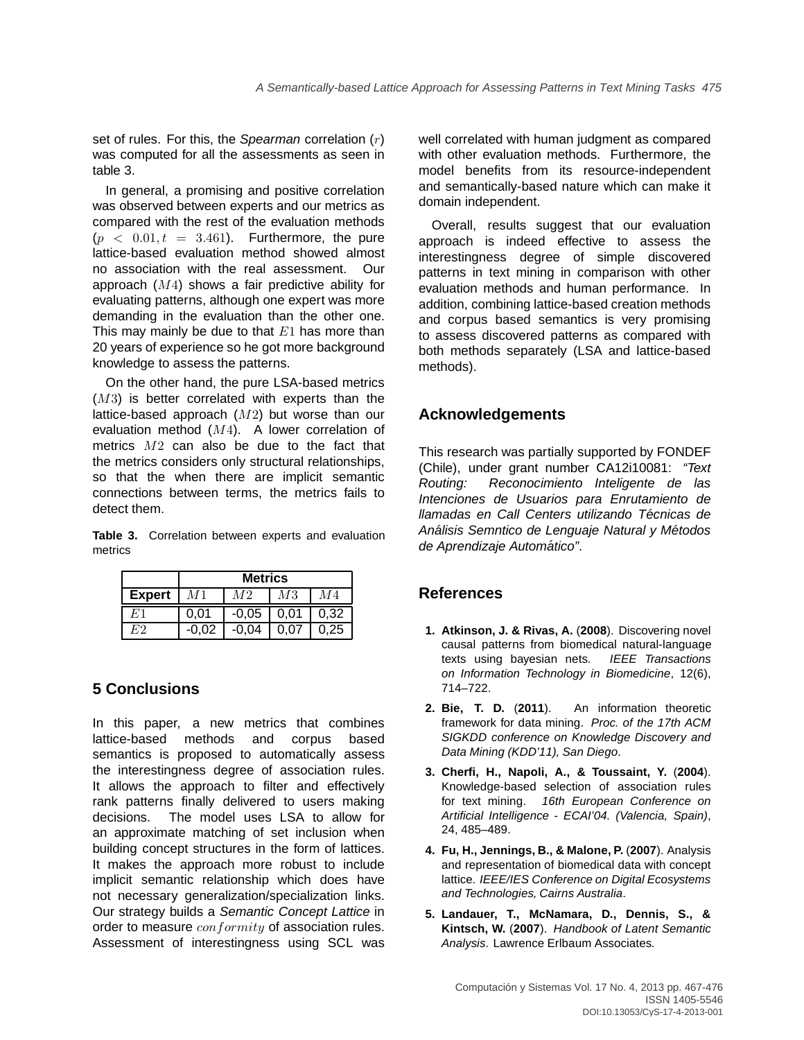set of rules. For this, the Spearman correlation  $(r)$ was computed for all the assessments as seen in table 3.

In general, a promising and positive correlation was observed between experts and our metrics as compared with the rest of the evaluation methods  $(p < 0.01, t = 3.461)$ . Furthermore, the pure lattice-based evaluation method showed almost no association with the real assessment. Our approach  $(M4)$  shows a fair predictive ability for evaluating patterns, although one expert was more demanding in the evaluation than the other one. This may mainly be due to that  $E1$  has more than 20 years of experience so he got more background knowledge to assess the patterns.

On the other hand, the pure LSA-based metrics  $(M3)$  is better correlated with experts than the lattice-based approach  $(M2)$  but worse than our evaluation method (M4). A lower correlation of metrics  $M2$  can also be due to the fact that the metrics considers only structural relationships, so that the when there are implicit semantic connections between terms, the metrics fails to detect them.

**Table 3.** Correlation between experts and evaluation metrics

|               | <b>Metrics</b> |         |      |      |  |
|---------------|----------------|---------|------|------|--|
| <b>Expert</b> | M1             |         | М3   | M4   |  |
|               | 0.01           | $-0,05$ | 0,01 | 0,32 |  |
|               | -0.02          | -0.04   | 0.07 | 0.25 |  |

## **5 Conclusions**

In this paper, a new metrics that combines lattice-based methods and corpus based semantics is proposed to automatically assess the interestingness degree of association rules. It allows the approach to filter and effectively rank patterns finally delivered to users making decisions. The model uses LSA to allow for an approximate matching of set inclusion when building concept structures in the form of lattices. It makes the approach more robust to include implicit semantic relationship which does have not necessary generalization/specialization links. Our strategy builds a Semantic Concept Lattice in order to measure *conformity* of association rules. Assessment of interestingness using SCL was

well correlated with human judgment as compared with other evaluation methods. Furthermore, the model benefits from its resource-independent and semantically-based nature which can make it domain independent.

Overall, results suggest that our evaluation approach is indeed effective to assess the interestingness degree of simple discovered patterns in text mining in comparison with other evaluation methods and human performance. In addition, combining lattice-based creation methods and corpus based semantics is very promising to assess discovered patterns as compared with both methods separately (LSA and lattice-based methods).

## **Acknowledgements**

This research was partially supported by FONDEF (Chile), under grant number CA12i10081: "Text Routing: Reconocimiento Inteligente de las Intenciones de Usuarios para Enrutamiento de llamadas en Call Centers utilizando Técnicas de Análisis Semntico de Lenguaje Natural y Métodos de Aprendizaje Automático".

## **References**

- **1. Atkinson, J. & Rivas, A.** (**2008**). Discovering novel causal patterns from biomedical natural-language texts using bayesian nets. IEEE Transactions on Information Technology in Biomedicine, 12(6), 714–722.
- **2. Bie, T. D.** (**2011**). An information theoretic framework for data mining. Proc. of the 17th ACM SIGKDD conference on Knowledge Discovery and Data Mining (KDD'11), San Diego.
- **3. Cherfi, H., Napoli, A., & Toussaint, Y.** (**2004**). Knowledge-based selection of association rules for text mining. 16th European Conference on Artificial Intelligence - ECAI'04. (Valencia, Spain), 24, 485–489.
- **4. Fu, H., Jennings, B., & Malone, P.** (**2007**). Analysis and representation of biomedical data with concept lattice. IEEE/IES Conference on Digital Ecosystems and Technologies, Cairns Australia.
- **5. Landauer, T., McNamara, D., Dennis, S., & Kintsch, W.** (**2007**). Handbook of Latent Semantic Analysis. Lawrence Erlbaum Associates.